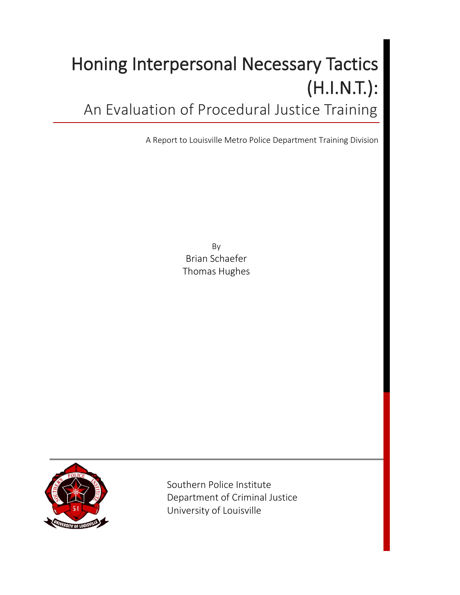# Honing Interpersonal Necessary Tactics (H.I.N.T.): An Evaluation of Procedural Justice Training

A Report to Louisville Metro Police Department Training Division

By Brian Schaefer Thomas Hughes



 Southern Police Institute Department of Criminal Justice University of Louisville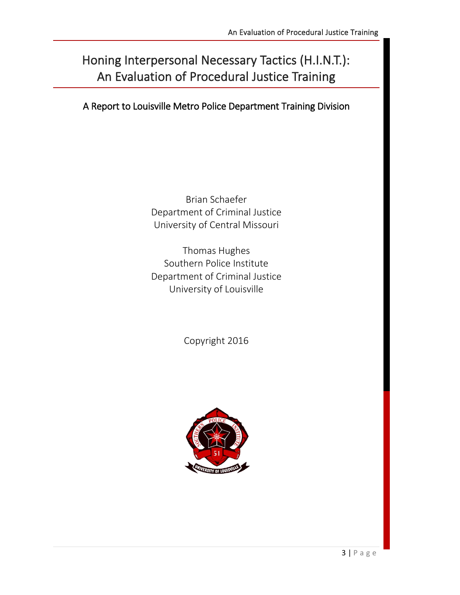# Honing Interpersonal Necessary Tactics (H.I.N.T.): An Evaluation of Procedural Justice Training

A Report to Louisville Metro Police Department Training Division

Brian Schaefer Department of Criminal Justice University of Central Missouri

Thomas Hughes Southern Police Institute Department of Criminal Justice University of Louisville

Copyright 2016

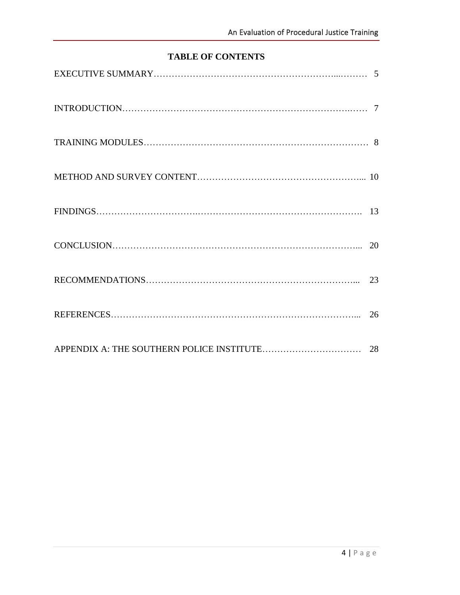# **TABLE OF CONTENTS**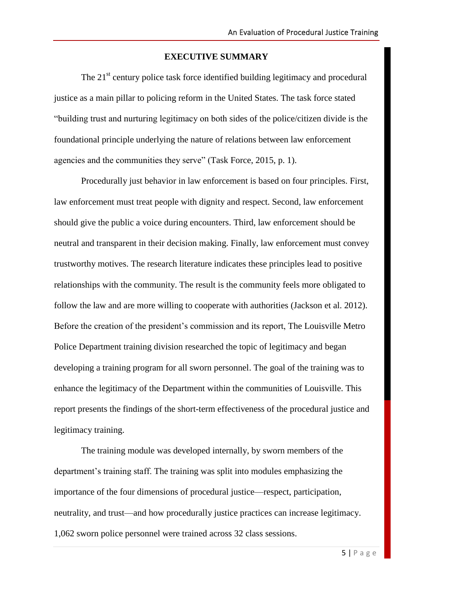#### **EXECUTIVE SUMMARY**

The  $21<sup>st</sup>$  century police task force identified building legitimacy and procedural justice as a main pillar to policing reform in the United States. The task force stated "building trust and nurturing legitimacy on both sides of the police/citizen divide is the foundational principle underlying the nature of relations between law enforcement agencies and the communities they serve" (Task Force, 2015, p. 1).

Procedurally just behavior in law enforcement is based on four principles. First, law enforcement must treat people with dignity and respect. Second, law enforcement should give the public a voice during encounters. Third, law enforcement should be neutral and transparent in their decision making. Finally, law enforcement must convey trustworthy motives. The research literature indicates these principles lead to positive relationships with the community. The result is the community feels more obligated to follow the law and are more willing to cooperate with authorities (Jackson et al. 2012). Before the creation of the president's commission and its report, The Louisville Metro Police Department training division researched the topic of legitimacy and began developing a training program for all sworn personnel. The goal of the training was to enhance the legitimacy of the Department within the communities of Louisville. This report presents the findings of the short-term effectiveness of the procedural justice and legitimacy training.

The training module was developed internally, by sworn members of the department's training staff. The training was split into modules emphasizing the importance of the four dimensions of procedural justice—respect, participation, neutrality, and trust—and how procedurally justice practices can increase legitimacy. 1,062 sworn police personnel were trained across 32 class sessions.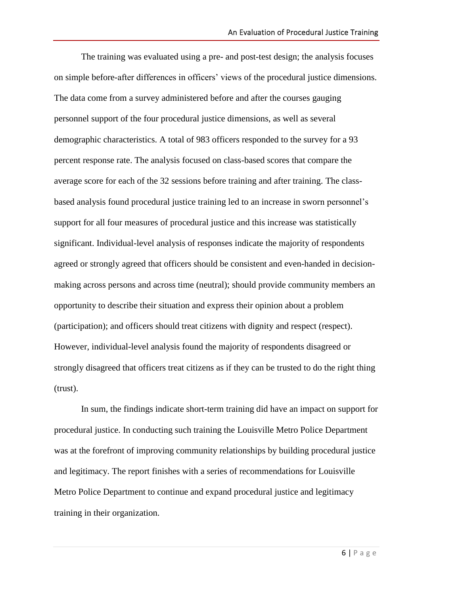The training was evaluated using a pre- and post-test design; the analysis focuses on simple before-after differences in officers' views of the procedural justice dimensions. The data come from a survey administered before and after the courses gauging personnel support of the four procedural justice dimensions, as well as several demographic characteristics. A total of 983 officers responded to the survey for a 93 percent response rate. The analysis focused on class-based scores that compare the average score for each of the 32 sessions before training and after training. The classbased analysis found procedural justice training led to an increase in sworn personnel's support for all four measures of procedural justice and this increase was statistically significant. Individual-level analysis of responses indicate the majority of respondents agreed or strongly agreed that officers should be consistent and even-handed in decisionmaking across persons and across time (neutral); should provide community members an opportunity to describe their situation and express their opinion about a problem (participation); and officers should treat citizens with dignity and respect (respect). However, individual-level analysis found the majority of respondents disagreed or strongly disagreed that officers treat citizens as if they can be trusted to do the right thing (trust).

In sum, the findings indicate short-term training did have an impact on support for procedural justice. In conducting such training the Louisville Metro Police Department was at the forefront of improving community relationships by building procedural justice and legitimacy. The report finishes with a series of recommendations for Louisville Metro Police Department to continue and expand procedural justice and legitimacy training in their organization.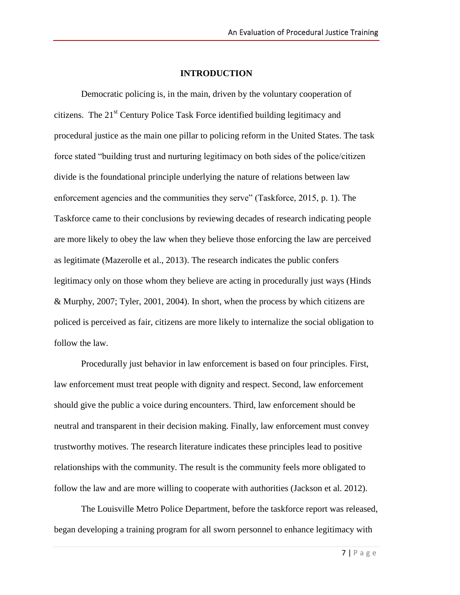#### **INTRODUCTION**

Democratic policing is, in the main, driven by the voluntary cooperation of citizens. The 21st Century Police Task Force identified building legitimacy and procedural justice as the main one pillar to policing reform in the United States. The task force stated "building trust and nurturing legitimacy on both sides of the police/citizen divide is the foundational principle underlying the nature of relations between law enforcement agencies and the communities they serve" (Taskforce, 2015, p. 1). The Taskforce came to their conclusions by reviewing decades of research indicating people are more likely to obey the law when they believe those enforcing the law are perceived as legitimate (Mazerolle et al., 2013). The research indicates the public confers legitimacy only on those whom they believe are acting in procedurally just ways (Hinds & Murphy, 2007; Tyler, 2001, 2004). In short, when the process by which citizens are policed is perceived as fair, citizens are more likely to internalize the social obligation to follow the law.

Procedurally just behavior in law enforcement is based on four principles. First, law enforcement must treat people with dignity and respect. Second, law enforcement should give the public a voice during encounters. Third, law enforcement should be neutral and transparent in their decision making. Finally, law enforcement must convey trustworthy motives. The research literature indicates these principles lead to positive relationships with the community. The result is the community feels more obligated to follow the law and are more willing to cooperate with authorities (Jackson et al. 2012).

The Louisville Metro Police Department, before the taskforce report was released, began developing a training program for all sworn personnel to enhance legitimacy with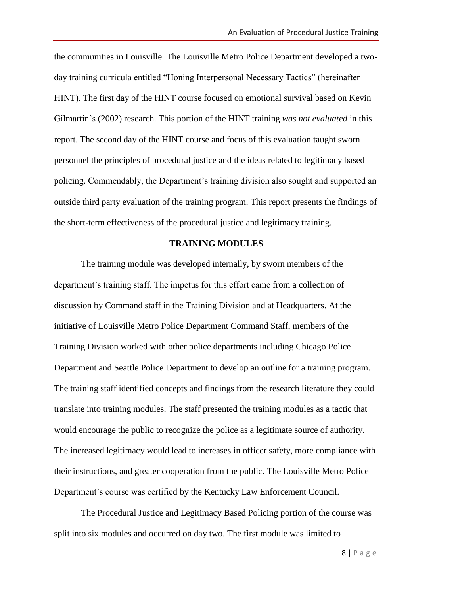the communities in Louisville. The Louisville Metro Police Department developed a twoday training curricula entitled "Honing Interpersonal Necessary Tactics" (hereinafter HINT). The first day of the HINT course focused on emotional survival based on Kevin Gilmartin's (2002) research. This portion of the HINT training *was not evaluated* in this report. The second day of the HINT course and focus of this evaluation taught sworn personnel the principles of procedural justice and the ideas related to legitimacy based policing. Commendably, the Department's training division also sought and supported an outside third party evaluation of the training program. This report presents the findings of the short-term effectiveness of the procedural justice and legitimacy training.

#### **TRAINING MODULES**

The training module was developed internally, by sworn members of the department's training staff. The impetus for this effort came from a collection of discussion by Command staff in the Training Division and at Headquarters. At the initiative of Louisville Metro Police Department Command Staff, members of the Training Division worked with other police departments including Chicago Police Department and Seattle Police Department to develop an outline for a training program. The training staff identified concepts and findings from the research literature they could translate into training modules. The staff presented the training modules as a tactic that would encourage the public to recognize the police as a legitimate source of authority. The increased legitimacy would lead to increases in officer safety, more compliance with their instructions, and greater cooperation from the public. The Louisville Metro Police Department's course was certified by the Kentucky Law Enforcement Council.

The Procedural Justice and Legitimacy Based Policing portion of the course was split into six modules and occurred on day two. The first module was limited to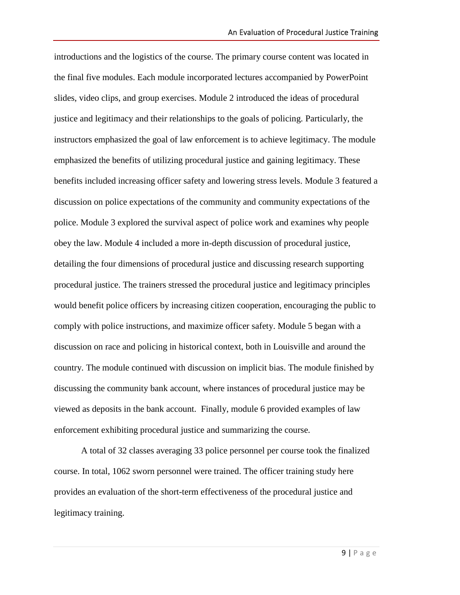introductions and the logistics of the course. The primary course content was located in the final five modules. Each module incorporated lectures accompanied by PowerPoint slides, video clips, and group exercises. Module 2 introduced the ideas of procedural justice and legitimacy and their relationships to the goals of policing. Particularly, the instructors emphasized the goal of law enforcement is to achieve legitimacy. The module emphasized the benefits of utilizing procedural justice and gaining legitimacy. These benefits included increasing officer safety and lowering stress levels. Module 3 featured a discussion on police expectations of the community and community expectations of the police. Module 3 explored the survival aspect of police work and examines why people obey the law. Module 4 included a more in-depth discussion of procedural justice, detailing the four dimensions of procedural justice and discussing research supporting procedural justice. The trainers stressed the procedural justice and legitimacy principles would benefit police officers by increasing citizen cooperation, encouraging the public to comply with police instructions, and maximize officer safety. Module 5 began with a discussion on race and policing in historical context, both in Louisville and around the country. The module continued with discussion on implicit bias. The module finished by discussing the community bank account, where instances of procedural justice may be viewed as deposits in the bank account. Finally, module 6 provided examples of law enforcement exhibiting procedural justice and summarizing the course.

A total of 32 classes averaging 33 police personnel per course took the finalized course. In total, 1062 sworn personnel were trained. The officer training study here provides an evaluation of the short-term effectiveness of the procedural justice and legitimacy training.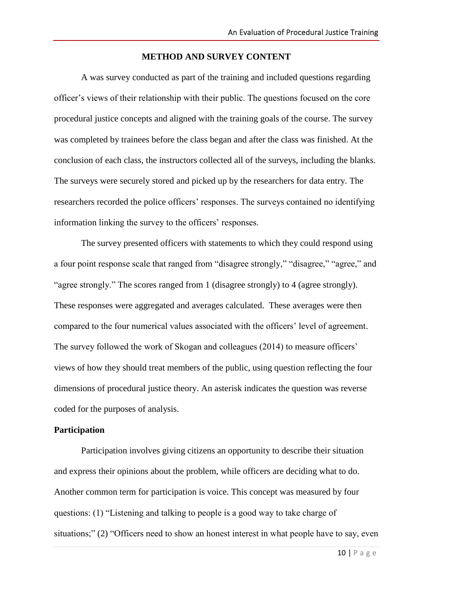#### **METHOD AND SURVEY CONTENT**

A was survey conducted as part of the training and included questions regarding officer's views of their relationship with their public. The questions focused on the core procedural justice concepts and aligned with the training goals of the course. The survey was completed by trainees before the class began and after the class was finished. At the conclusion of each class, the instructors collected all of the surveys, including the blanks. The surveys were securely stored and picked up by the researchers for data entry. The researchers recorded the police officers' responses. The surveys contained no identifying information linking the survey to the officers' responses.

The survey presented officers with statements to which they could respond using a four point response scale that ranged from "disagree strongly," "disagree," "agree," and "agree strongly." The scores ranged from 1 (disagree strongly) to 4 (agree strongly). These responses were aggregated and averages calculated. These averages were then compared to the four numerical values associated with the officers' level of agreement. The survey followed the work of Skogan and colleagues (2014) to measure officers' views of how they should treat members of the public, using question reflecting the four dimensions of procedural justice theory. An asterisk indicates the question was reverse coded for the purposes of analysis.

#### **Participation**

Participation involves giving citizens an opportunity to describe their situation and express their opinions about the problem, while officers are deciding what to do. Another common term for participation is voice. This concept was measured by four questions: (1) "Listening and talking to people is a good way to take charge of situations;" (2) "Officers need to show an honest interest in what people have to say, even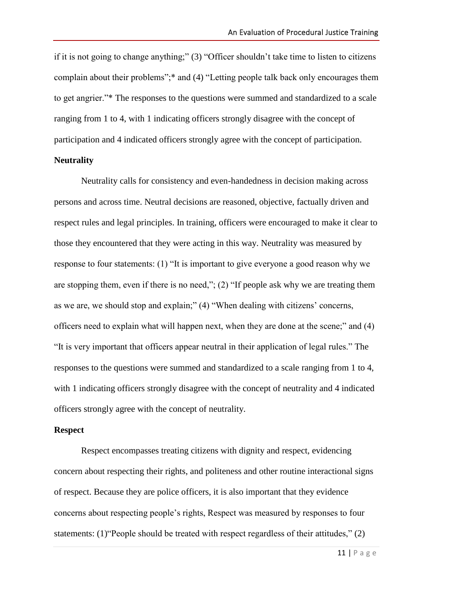if it is not going to change anything;" (3) "Officer shouldn't take time to listen to citizens complain about their problems";\* and (4) "Letting people talk back only encourages them to get angrier."\* The responses to the questions were summed and standardized to a scale ranging from 1 to 4, with 1 indicating officers strongly disagree with the concept of participation and 4 indicated officers strongly agree with the concept of participation. **Neutrality**

# Neutrality calls for consistency and even-handedness in decision making across persons and across time. Neutral decisions are reasoned, objective, factually driven and respect rules and legal principles. In training, officers were encouraged to make it clear to those they encountered that they were acting in this way. Neutrality was measured by response to four statements: (1) "It is important to give everyone a good reason why we are stopping them, even if there is no need,"; (2) "If people ask why we are treating them as we are, we should stop and explain;" (4) "When dealing with citizens' concerns, officers need to explain what will happen next, when they are done at the scene;" and (4) "It is very important that officers appear neutral in their application of legal rules." The responses to the questions were summed and standardized to a scale ranging from 1 to 4, with 1 indicating officers strongly disagree with the concept of neutrality and 4 indicated officers strongly agree with the concept of neutrality.

#### **Respect**

Respect encompasses treating citizens with dignity and respect, evidencing concern about respecting their rights, and politeness and other routine interactional signs of respect. Because they are police officers, it is also important that they evidence concerns about respecting people's rights, Respect was measured by responses to four statements: (1)"People should be treated with respect regardless of their attitudes," (2)

11 | P a g e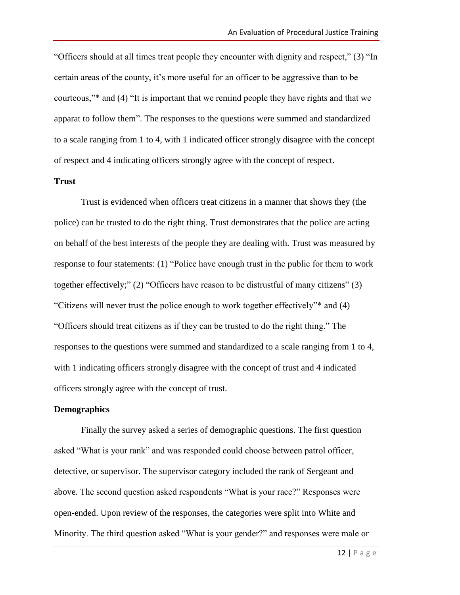"Officers should at all times treat people they encounter with dignity and respect," (3) "In certain areas of the county, it's more useful for an officer to be aggressive than to be courteous,"\* and (4) "It is important that we remind people they have rights and that we apparat to follow them". The responses to the questions were summed and standardized to a scale ranging from 1 to 4, with 1 indicated officer strongly disagree with the concept of respect and 4 indicating officers strongly agree with the concept of respect.

#### **Trust**

Trust is evidenced when officers treat citizens in a manner that shows they (the police) can be trusted to do the right thing. Trust demonstrates that the police are acting on behalf of the best interests of the people they are dealing with. Trust was measured by response to four statements: (1) "Police have enough trust in the public for them to work together effectively;" (2) "Officers have reason to be distrustful of many citizens" (3) "Citizens will never trust the police enough to work together effectively"\* and (4) "Officers should treat citizens as if they can be trusted to do the right thing." The responses to the questions were summed and standardized to a scale ranging from 1 to 4, with 1 indicating officers strongly disagree with the concept of trust and 4 indicated officers strongly agree with the concept of trust.

#### **Demographics**

Finally the survey asked a series of demographic questions. The first question asked "What is your rank" and was responded could choose between patrol officer, detective, or supervisor. The supervisor category included the rank of Sergeant and above. The second question asked respondents "What is your race?" Responses were open-ended. Upon review of the responses, the categories were split into White and Minority. The third question asked "What is your gender?" and responses were male or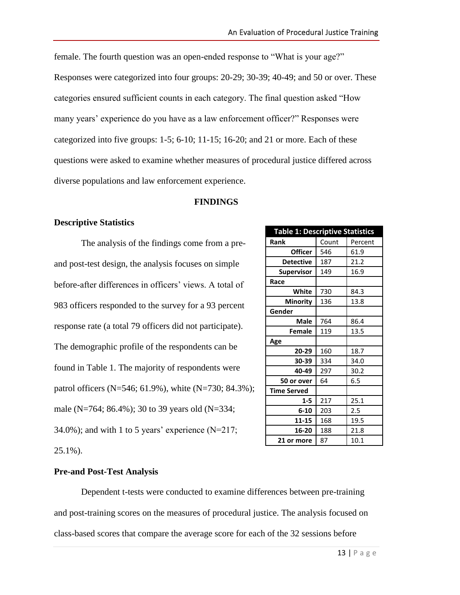female. The fourth question was an open-ended response to "What is your age?" Responses were categorized into four groups: 20-29; 30-39; 40-49; and 50 or over. These categories ensured sufficient counts in each category. The final question asked "How many years' experience do you have as a law enforcement officer?" Responses were categorized into five groups: 1-5; 6-10; 11-15; 16-20; and 21 or more. Each of these questions were asked to examine whether measures of procedural justice differed across diverse populations and law enforcement experience.

#### **FINDINGS**

#### **Descriptive Statistics**

The analysis of the findings come from a preand post-test design, the analysis focuses on simple before-after differences in officers' views. A total of 983 officers responded to the survey for a 93 percent response rate (a total 79 officers did not participate). The demographic profile of the respondents can be found in Table 1. The majority of respondents were patrol officers (N=546; 61.9%), white (N=730; 84.3%); male (N=764; 86.4%); 30 to 39 years old (N=334; 34.0%); and with 1 to 5 years' experience  $(N=217;$ 25.1%).

| <b>Table 1: Descriptive Statistics</b> |       |         |  |
|----------------------------------------|-------|---------|--|
| Rank                                   | Count | Percent |  |
| <b>Officer</b>                         | 546   | 61.9    |  |
| Detective                              | 187   | 21.2    |  |
| <b>Supervisor</b>                      | 149   | 16.9    |  |
| Race                                   |       |         |  |
| White                                  | 730   | 84.3    |  |
| Minority                               | 136   | 13.8    |  |
| Gender                                 |       |         |  |
| <b>Male</b>                            | 764   | 86.4    |  |
| Female                                 | 119   | 13.5    |  |
| Age                                    |       |         |  |
| 20-29                                  | 160   | 18.7    |  |
| 30-39                                  | 334   | 34.0    |  |
| 40-49                                  | 297   | 30.2    |  |
| 50 or over                             | 64    | 6.5     |  |
| <b>Time Served</b>                     |       |         |  |
| $1 - 5$                                | 217   | 25.1    |  |
| $6 - 10$                               | 203   | 2.5     |  |
| 11-15                                  | 168   | 19.5    |  |
| 16-20                                  | 188   | 21.8    |  |
| 21 or more                             | 87    | 10.1    |  |

### **Pre-and Post-Test Analysis**

Dependent t-tests were conducted to examine differences between pre-training and post-training scores on the measures of procedural justice. The analysis focused on class-based scores that compare the average score for each of the 32 sessions before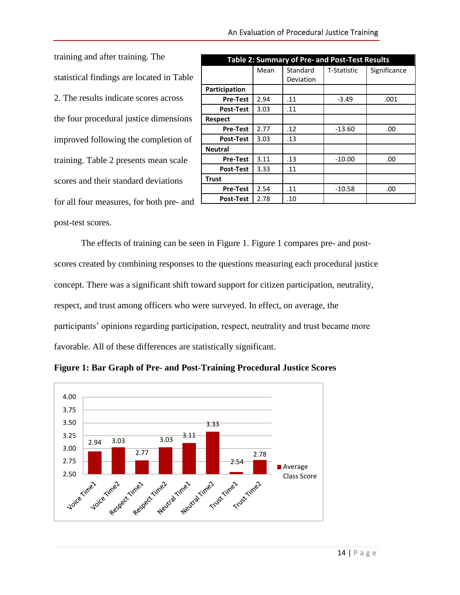training and after training. The statistical findings are located in Table 2. The results indicate scores across the four procedural justice dimensions improved following the completion of training. Table 2 presents mean scale scores and their standard deviations for all four measures, for both pre- and post-test scores.

| <b>Table 2: Summary of Pre- and Post-Test Results</b> |      |                       |             |              |
|-------------------------------------------------------|------|-----------------------|-------------|--------------|
|                                                       | Mean | Standard<br>Deviation | T-Statistic | Significance |
| Participation                                         |      |                       |             |              |
| <b>Pre-Test</b>                                       | 2.94 | .11                   | $-3.49$     | .001         |
| <b>Post-Test</b>                                      | 3.03 | .11                   |             |              |
| <b>Respect</b>                                        |      |                       |             |              |
| <b>Pre-Test</b>                                       | 2.77 | .12                   | $-13.60$    | .00          |
| <b>Post-Test</b>                                      | 3.03 | .13                   |             |              |
| <b>Neutral</b>                                        |      |                       |             |              |
| <b>Pre-Test</b>                                       | 3.11 | .13                   | $-10.00$    | .00          |
| <b>Post-Test</b>                                      | 3.33 | .11                   |             |              |
| <b>Trust</b>                                          |      |                       |             |              |
| <b>Pre-Test</b>                                       | 2.54 | .11                   | $-10.58$    | .00          |
| <b>Post-Test</b>                                      | 2.78 | .10                   |             |              |

The effects of training can be seen in Figure 1. Figure 1 compares pre- and postscores created by combining responses to the questions measuring each procedural justice concept. There was a significant shift toward support for citizen participation, neutrality, respect, and trust among officers who were surveyed. In effect, on average, the participants' opinions regarding participation, respect, neutrality and trust became more favorable. All of these differences are statistically significant.



**Figure 1: Bar Graph of Pre- and Post-Training Procedural Justice Scores**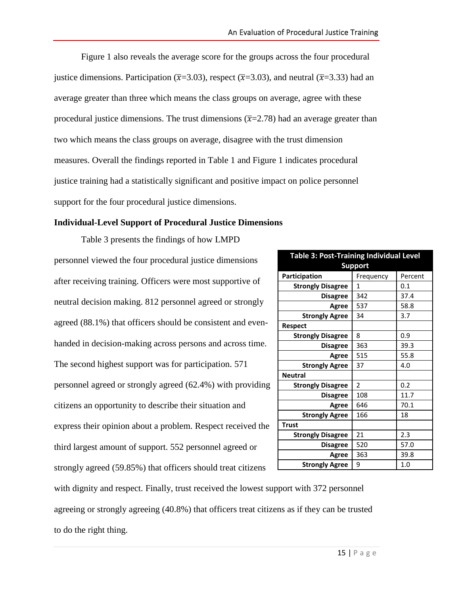Figure 1 also reveals the average score for the groups across the four procedural justice dimensions. Participation ( $\bar{x}$ =3.03), respect ( $\bar{x}$ =3.03), and neutral ( $\bar{x}$ =3.33) had an average greater than three which means the class groups on average, agree with these procedural justice dimensions. The trust dimensions  $(\overline{x}=2.78)$  had an average greater than two which means the class groups on average, disagree with the trust dimension measures. Overall the findings reported in Table 1 and Figure 1 indicates procedural justice training had a statistically significant and positive impact on police personnel support for the four procedural justice dimensions.

#### **Individual-Level Support of Procedural Justice Dimensions**

Table 3 presents the findings of how LMPD personnel viewed the four procedural justice dimensions after receiving training. Officers were most supportive of neutral decision making. 812 personnel agreed or strongly agreed (88.1%) that officers should be consistent and evenhanded in decision-making across persons and across time. The second highest support was for participation. 571 personnel agreed or strongly agreed (62.4%) with providing citizens an opportunity to describe their situation and express their opinion about a problem. Respect received the third largest amount of support. 552 personnel agreed or strongly agreed (59.85%) that officers should treat citizens

| <b>Table 3: Post-Training Individual Level</b><br><b>Support</b> |                          |         |  |
|------------------------------------------------------------------|--------------------------|---------|--|
| Participation                                                    | Frequency                | Percent |  |
| <b>Strongly Disagree</b>                                         | 1                        | 0.1     |  |
| <b>Disagree</b>                                                  | 342                      | 37.4    |  |
| Agree                                                            | 537                      | 58.8    |  |
| <b>Strongly Agree</b>                                            | 34                       | 3.7     |  |
| <b>Respect</b>                                                   |                          |         |  |
| <b>Strongly Disagree</b>                                         | 8                        | 0.9     |  |
| <b>Disagree</b>                                                  | 363                      | 39.3    |  |
| Agree                                                            | 515                      | 55.8    |  |
| <b>Strongly Agree</b>                                            | 37                       | 4.0     |  |
| <b>Neutral</b>                                                   |                          |         |  |
| <b>Strongly Disagree</b>                                         | $\overline{\phantom{a}}$ | 0.2     |  |
| <b>Disagree</b>                                                  | 108                      | 11.7    |  |
| Agree                                                            | 646                      | 70.1    |  |
| <b>Strongly Agree</b>                                            | 166                      | 18      |  |
| <b>Trust</b>                                                     |                          |         |  |
| <b>Strongly Disagree</b>                                         | 21                       | 2.3     |  |
| <b>Disagree</b>                                                  | 520                      | 57.0    |  |
| Agree                                                            | 363                      | 39.8    |  |
| <b>Strongly Agree</b>                                            | 9                        | 1.0     |  |

with dignity and respect. Finally, trust received the lowest support with 372 personnel agreeing or strongly agreeing (40.8%) that officers treat citizens as if they can be trusted to do the right thing.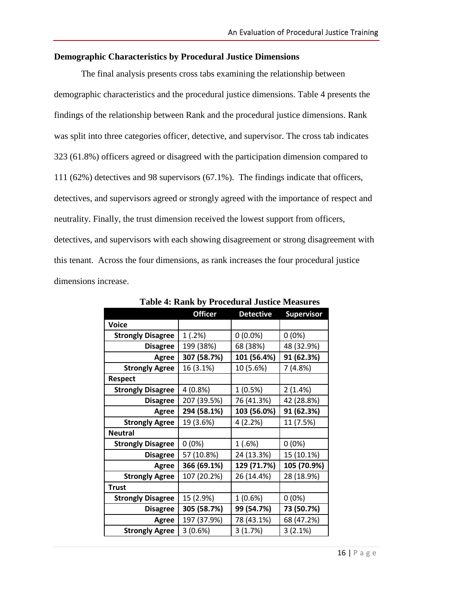### **Demographic Characteristics by Procedural Justice Dimensions**

The final analysis presents cross tabs examining the relationship between demographic characteristics and the procedural justice dimensions. Table 4 presents the findings of the relationship between Rank and the procedural justice dimensions. Rank was split into three categories officer, detective, and supervisor. The cross tab indicates 323 (61.8%) officers agreed or disagreed with the participation dimension compared to 111 (62%) detectives and 98 supervisors (67.1%). The findings indicate that officers, detectives, and supervisors agreed or strongly agreed with the importance of respect and neutrality. Finally, the trust dimension received the lowest support from officers, detectives, and supervisors with each showing disagreement or strong disagreement with this tenant. Across the four dimensions, as rank increases the four procedural justice dimensions increase.

|                          | <b>Officer</b> | <b>Detective</b> | <b>Supervisor</b> |
|--------------------------|----------------|------------------|-------------------|
| <b>Voice</b>             |                |                  |                   |
| <b>Strongly Disagree</b> | 1(.2%)         | $0(0.0\%)$       | $0(0\%)$          |
| <b>Disagree</b>          | 199 (38%)      | 68 (38%)         | 48 (32.9%)        |
| Agree                    | 307 (58.7%)    | 101 (56.4%)      | 91 (62.3%)        |
| <b>Strongly Agree</b>    | 16 (3.1%)      | 10 (5.6%)        | 7 (4.8%)          |
| <b>Respect</b>           |                |                  |                   |
| <b>Strongly Disagree</b> | 4 (0.8%)       | 1(0.5%)          | 2(1.4%)           |
| <b>Disagree</b>          | 207 (39.5%)    | 76 (41.3%)       | 42 (28.8%)        |
| Agree                    | 294 (58.1%)    | 103 (56.0%)      | 91 (62.3%)        |
| <b>Strongly Agree</b>    | 19 (3.6%)      | 4(2.2%)          | 11 (7.5%)         |
| <b>Neutral</b>           |                |                  |                   |
| <b>Strongly Disagree</b> | $0(0\%)$       | 1(.6%)           | $0(0\%)$          |
| <b>Disagree</b>          | 57 (10.8%)     | 24 (13.3%)       | 15 (10.1%)        |
| Agree                    | 366 (69.1%)    | 129 (71.7%)      | 105 (70.9%)       |
| <b>Strongly Agree</b>    | 107 (20.2%)    | 26 (14.4%)       | 28 (18.9%)        |
| <b>Trust</b>             |                |                  |                   |
| <b>Strongly Disagree</b> | 15 (2.9%)      | 1 (0.6%)         | $0(0\%)$          |
| <b>Disagree</b>          | 305 (58.7%)    | 99 (54.7%)       | 73 (50.7%)        |
| Agree                    | 197 (37.9%)    | 78 (43.1%)       | 68 (47.2%)        |
| <b>Strongly Agree</b>    | 3(0.6%)        | 3(1.7%)          | 3(2.1%)           |

**Table 4: Rank by Procedural Justice Measures**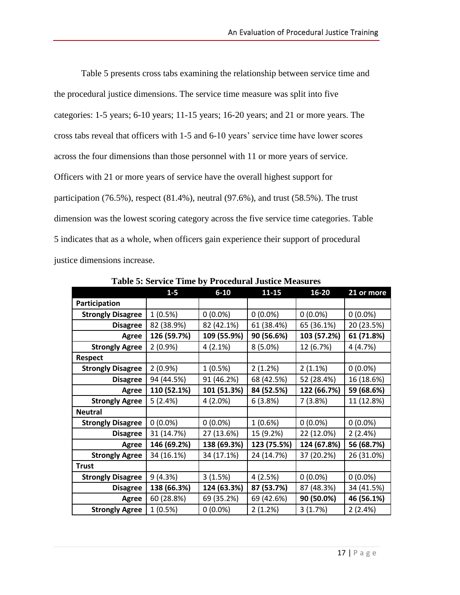Table 5 presents cross tabs examining the relationship between service time and the procedural justice dimensions. The service time measure was split into five categories: 1-5 years; 6-10 years; 11-15 years; 16-20 years; and 21 or more years. The cross tabs reveal that officers with 1-5 and 6-10 years' service time have lower scores across the four dimensions than those personnel with 11 or more years of service. Officers with 21 or more years of service have the overall highest support for participation (76.5%), respect (81.4%), neutral (97.6%), and trust (58.5%). The trust dimension was the lowest scoring category across the five service time categories. Table 5 indicates that as a whole, when officers gain experience their support of procedural justice dimensions increase.

|                          | $1-5$       | $6 - 10$    | $11 - 15$   | 16-20       | 21 or more |
|--------------------------|-------------|-------------|-------------|-------------|------------|
| Participation            |             |             |             |             |            |
| <b>Strongly Disagree</b> | 1(0.5%)     | $0(0.0\%)$  | $0(0.0\%)$  | $0(0.0\%)$  | $0(0.0\%)$ |
| <b>Disagree</b>          | 82 (38.9%)  | 82 (42.1%)  | 61 (38.4%)  | 65 (36.1%)  | 20 (23.5%) |
| Agree                    | 126 (59.7%) | 109 (55.9%) | 90 (56.6%)  | 103 (57.2%) | 61 (71.8%) |
| <b>Strongly Agree</b>    | 2(0.9%      | 4(2.1%)     | 8(5.0%)     | 12 (6.7%)   | 4 (4.7%)   |
| <b>Respect</b>           |             |             |             |             |            |
| <b>Strongly Disagree</b> | $2(0.9\%)$  | 1(0.5%)     | 2(1.2%)     | 2(1.1%)     | $0(0.0\%)$ |
| <b>Disagree</b>          | 94 (44.5%)  | 91 (46.2%)  | 68 (42.5%)  | 52 (28.4%)  | 16 (18.6%) |
| Agree                    | 110 (52.1%) | 101 (51.3%) | 84 (52.5%)  | 122 (66.7%) | 59 (68.6%) |
| <b>Strongly Agree</b>    | 5(2.4%)     | 4(2.0%)     | 6(3.8%)     | 7(3.8%)     | 11 (12.8%) |
| <b>Neutral</b>           |             |             |             |             |            |
| <b>Strongly Disagree</b> | $0(0.0\%)$  | $0(0.0\%)$  | 1(0.6%)     | $0(0.0\%)$  | $0(0.0\%)$ |
| <b>Disagree</b>          | 31 (14.7%)  | 27 (13.6%)  | 15 (9.2%)   | 22 (12.0%)  | 2(2.4%)    |
| Agree                    | 146 (69.2%) | 138 (69.3%) | 123 (75.5%) | 124 (67.8%) | 56 (68.7%) |
| <b>Strongly Agree</b>    | 34 (16.1%)  | 34 (17.1%)  | 24 (14.7%)  | 37 (20.2%)  | 26 (31.0%) |
| <b>Trust</b>             |             |             |             |             |            |
| <b>Strongly Disagree</b> | 9(4.3%)     | 3(1.5%)     | 4(2.5%)     | $0(0.0\%)$  | $0(0.0\%)$ |
| <b>Disagree</b>          | 138 (66.3%) | 124 (63.3%) | 87 (53.7%)  | 87 (48.3%)  | 34 (41.5%) |
| Agree                    | 60 (28.8%)  | 69 (35.2%)  | 69 (42.6%)  | 90 (50.0%)  | 46 (56.1%) |
| <b>Strongly Agree</b>    | 1(0.5%)     | $0(0.0\%)$  | 2(1.2%)     | 3(1.7%)     | 2(2.4%)    |

**Table 5: Service Time by Procedural Justice Measures**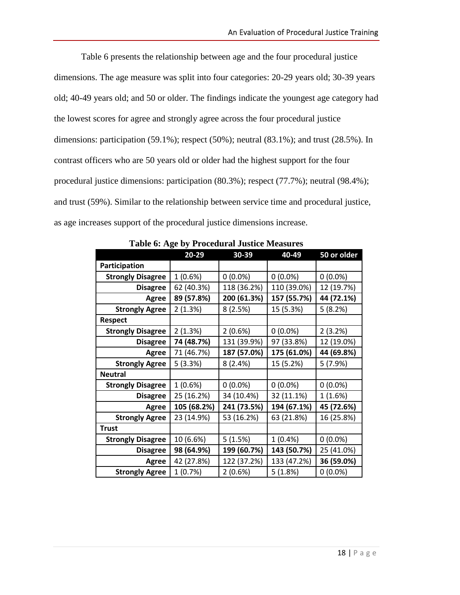Table 6 presents the relationship between age and the four procedural justice dimensions. The age measure was split into four categories: 20-29 years old; 30-39 years old; 40-49 years old; and 50 or older. The findings indicate the youngest age category had the lowest scores for agree and strongly agree across the four procedural justice dimensions: participation (59.1%); respect (50%); neutral (83.1%); and trust (28.5%). In contrast officers who are 50 years old or older had the highest support for the four procedural justice dimensions: participation (80.3%); respect (77.7%); neutral (98.4%); and trust (59%). Similar to the relationship between service time and procedural justice, as age increases support of the procedural justice dimensions increase.

|                          | o           |             |             |             |
|--------------------------|-------------|-------------|-------------|-------------|
|                          | 20-29       | 30-39       | 40-49       | 50 or older |
| Participation            |             |             |             |             |
| <b>Strongly Disagree</b> | 1(0.6%)     | $0(0.0\%)$  | $0(0.0\%)$  | $0(0.0\%)$  |
| <b>Disagree</b>          | 62 (40.3%)  | 118 (36.2%) | 110 (39.0%) | 12 (19.7%)  |
| Agree                    | 89 (57.8%)  | 200 (61.3%) | 157 (55.7%) | 44 (72.1%)  |
| <b>Strongly Agree</b>    | 2(1.3%)     | 8(2.5%)     | 15 (5.3%)   | 5(8.2%)     |
| <b>Respect</b>           |             |             |             |             |
| <b>Strongly Disagree</b> | 2(1.3%)     | 2(0.6%)     | $0(0.0\%)$  | 2(3.2%)     |
| <b>Disagree</b>          | 74 (48.7%)  | 131 (39.9%) | 97 (33.8%)  | 12 (19.0%)  |
| Agree                    | 71 (46.7%)  | 187 (57.0%) | 175 (61.0%) | 44 (69.8%)  |
| <b>Strongly Agree</b>    | 5(3.3%)     | 8(2.4%)     | 15 (5.2%)   | 5(7.9%)     |
| <b>Neutral</b>           |             |             |             |             |
| <b>Strongly Disagree</b> | 1(0.6%)     | $0(0.0\%)$  | $0(0.0\%)$  | $0(0.0\%)$  |
| <b>Disagree</b>          | 25 (16.2%)  | 34 (10.4%)  | 32 (11.1%)  | 1(1.6%)     |
| Agree                    | 105 (68.2%) | 241 (73.5%) | 194 (67.1%) | 45 (72.6%)  |
| <b>Strongly Agree</b>    | 23 (14.9%)  | 53 (16.2%)  | 63 (21.8%)  | 16 (25.8%)  |
| <b>Trust</b>             |             |             |             |             |
| <b>Strongly Disagree</b> | 10 (6.6%)   | 5(1.5%)     | $1(0.4\%)$  | $0(0.0\%)$  |
| <b>Disagree</b>          | 98 (64.9%)  | 199 (60.7%) | 143 (50.7%) | 25 (41.0%)  |
| Agree                    | 42 (27.8%)  | 122 (37.2%) | 133 (47.2%) | 36 (59.0%)  |
| <b>Strongly Agree</b>    | 1(0.7%)     | 2(0.6%)     | 5(1.8%)     | $0(0.0\%)$  |

**Table 6: Age by Procedural Justice Measures**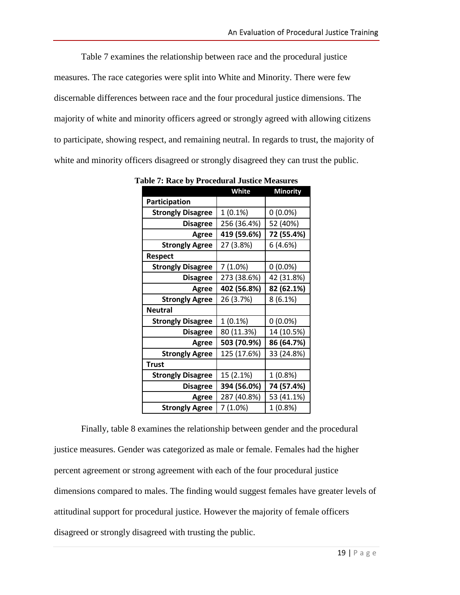Table 7 examines the relationship between race and the procedural justice measures. The race categories were split into White and Minority. There were few discernable differences between race and the four procedural justice dimensions. The majority of white and minority officers agreed or strongly agreed with allowing citizens to participate, showing respect, and remaining neutral. In regards to trust, the majority of white and minority officers disagreed or strongly disagreed they can trust the public.

|                          | White       | <b>Minority</b> |
|--------------------------|-------------|-----------------|
| Participation            |             |                 |
| <b>Strongly Disagree</b> | 1(0.1%)     | $0(0.0\%)$      |
| <b>Disagree</b>          | 256 (36.4%) | 52 (40%)        |
| <b>Agree</b>             | 419 (59.6%) | 72 (55.4%)      |
| <b>Strongly Agree</b>    | 27 (3.8%)   | 6(4.6%)         |
| <b>Respect</b>           |             |                 |
| <b>Strongly Disagree</b> | 7(1.0%)     | $0(0.0\%)$      |
| <b>Disagree</b>          | 273 (38.6%) | 42 (31.8%)      |
| <b>Agree</b>             | 402 (56.8%) | 82 (62.1%)      |
| <b>Strongly Agree</b>    | 26 (3.7%)   | 8(6.1%)         |
| <b>Neutral</b>           |             |                 |
| <b>Strongly Disagree</b> | $1(0.1\%)$  | $0(0.0\%)$      |
| <b>Disagree</b>          | 80 (11.3%)  | 14 (10.5%)      |
| Agree                    | 503 (70.9%) | 86 (64.7%)      |
| <b>Strongly Agree</b>    | 125 (17.6%) | 33 (24.8%)      |
| <b>Trust</b>             |             |                 |
| <b>Strongly Disagree</b> | 15 (2.1%)   | 1 (0.8%)        |
| <b>Disagree</b>          | 394 (56.0%) | 74 (57.4%)      |
| Agree                    | 287 (40.8%) | 53 (41.1%)      |
| <b>Strongly Agree</b>    | 7 (1.0%)    | 1 (0.8%)        |

**Table 7: Race by Procedural Justice Measures**

Finally, table 8 examines the relationship between gender and the procedural justice measures. Gender was categorized as male or female. Females had the higher percent agreement or strong agreement with each of the four procedural justice dimensions compared to males. The finding would suggest females have greater levels of attitudinal support for procedural justice. However the majority of female officers disagreed or strongly disagreed with trusting the public.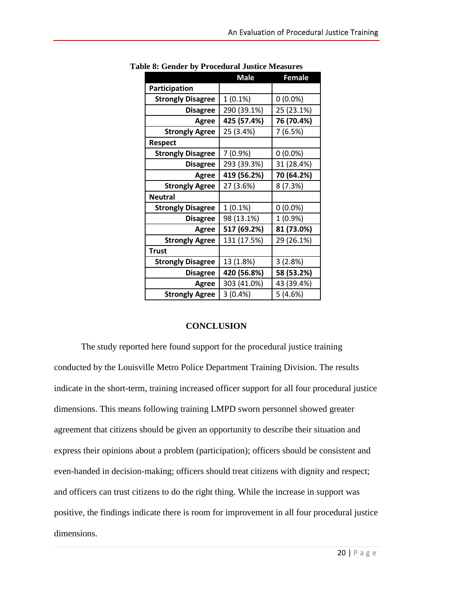|                          | <b>Male</b> | <b>Female</b> |
|--------------------------|-------------|---------------|
| Participation            |             |               |
| <b>Strongly Disagree</b> | 1(0.1%)     | $0(0.0\%)$    |
| <b>Disagree</b>          | 290 (39.1%) | 25 (23.1%)    |
| Agree                    | 425 (57.4%) | 76 (70.4%)    |
| <b>Strongly Agree</b>    | 25 (3.4%)   | 7 (6.5%)      |
| <b>Respect</b>           |             |               |
| <b>Strongly Disagree</b> | 7 (0.9%)    | $0(0.0\%)$    |
| <b>Disagree</b>          | 293 (39.3%) | 31 (28.4%)    |
| Agree                    | 419 (56.2%) | 70 (64.2%)    |
| <b>Strongly Agree</b>    | 27 (3.6%)   | 8 (7.3%)      |
| <b>Neutral</b>           |             |               |
| <b>Strongly Disagree</b> | 1(0.1%)     | $0(0.0\%)$    |
| <b>Disagree</b>          | 98 (13.1%)  | 1 (0.9%)      |
| Agree                    | 517 (69.2%) | 81 (73.0%)    |
| <b>Strongly Agree</b>    | 131 (17.5%) | 29 (26.1%)    |
| <b>Trust</b>             |             |               |
| <b>Strongly Disagree</b> | 13 (1.8%)   | 3(2.8%)       |
| <b>Disagree</b>          | 420 (56.8%) | 58 (53.2%)    |
| Agree                    | 303 (41.0%) | 43 (39.4%)    |
| <b>Strongly Agree</b>    | 3(0.4% )    | 5(4.6%)       |

**Table 8: Gender by Procedural Justice Measures**

#### **CONCLUSION**

The study reported here found support for the procedural justice training conducted by the Louisville Metro Police Department Training Division. The results indicate in the short-term, training increased officer support for all four procedural justice dimensions. This means following training LMPD sworn personnel showed greater agreement that citizens should be given an opportunity to describe their situation and express their opinions about a problem (participation); officers should be consistent and even-handed in decision-making; officers should treat citizens with dignity and respect; and officers can trust citizens to do the right thing. While the increase in support was positive, the findings indicate there is room for improvement in all four procedural justice dimensions.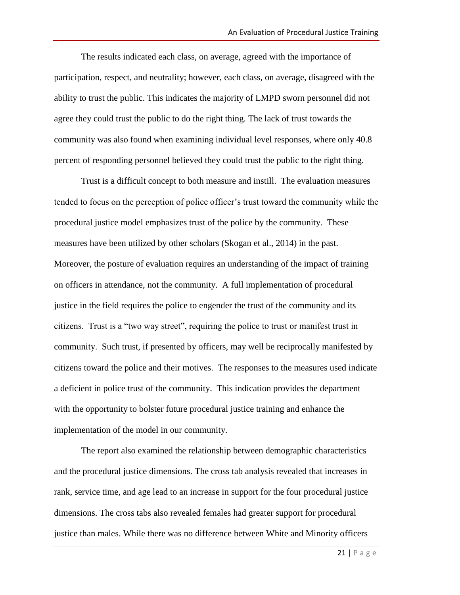The results indicated each class, on average, agreed with the importance of participation, respect, and neutrality; however, each class, on average, disagreed with the ability to trust the public. This indicates the majority of LMPD sworn personnel did not agree they could trust the public to do the right thing. The lack of trust towards the community was also found when examining individual level responses, where only 40.8 percent of responding personnel believed they could trust the public to the right thing.

Trust is a difficult concept to both measure and instill. The evaluation measures tended to focus on the perception of police officer's trust toward the community while the procedural justice model emphasizes trust of the police by the community. These measures have been utilized by other scholars (Skogan et al., 2014) in the past. Moreover, the posture of evaluation requires an understanding of the impact of training on officers in attendance, not the community. A full implementation of procedural justice in the field requires the police to engender the trust of the community and its citizens. Trust is a "two way street", requiring the police to trust or manifest trust in community. Such trust, if presented by officers, may well be reciprocally manifested by citizens toward the police and their motives. The responses to the measures used indicate a deficient in police trust of the community. This indication provides the department with the opportunity to bolster future procedural justice training and enhance the implementation of the model in our community.

The report also examined the relationship between demographic characteristics and the procedural justice dimensions. The cross tab analysis revealed that increases in rank, service time, and age lead to an increase in support for the four procedural justice dimensions. The cross tabs also revealed females had greater support for procedural justice than males. While there was no difference between White and Minority officers

21 | P a g e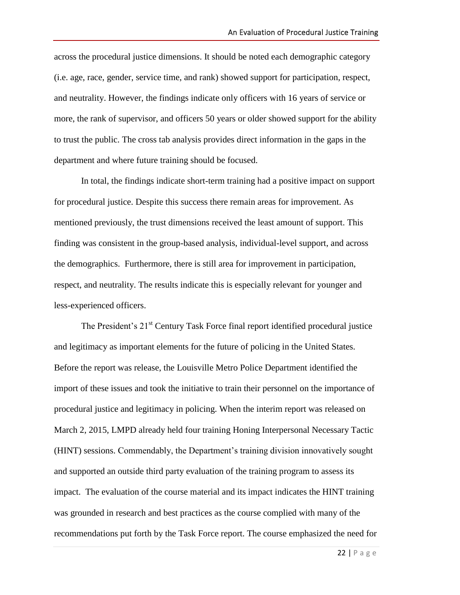across the procedural justice dimensions. It should be noted each demographic category (i.e. age, race, gender, service time, and rank) showed support for participation, respect, and neutrality. However, the findings indicate only officers with 16 years of service or more, the rank of supervisor, and officers 50 years or older showed support for the ability to trust the public. The cross tab analysis provides direct information in the gaps in the department and where future training should be focused.

In total, the findings indicate short-term training had a positive impact on support for procedural justice. Despite this success there remain areas for improvement. As mentioned previously, the trust dimensions received the least amount of support. This finding was consistent in the group-based analysis, individual-level support, and across the demographics. Furthermore, there is still area for improvement in participation, respect, and neutrality. The results indicate this is especially relevant for younger and less-experienced officers.

The President's 21<sup>st</sup> Century Task Force final report identified procedural justice and legitimacy as important elements for the future of policing in the United States. Before the report was release, the Louisville Metro Police Department identified the import of these issues and took the initiative to train their personnel on the importance of procedural justice and legitimacy in policing. When the interim report was released on March 2, 2015, LMPD already held four training Honing Interpersonal Necessary Tactic (HINT) sessions. Commendably, the Department's training division innovatively sought and supported an outside third party evaluation of the training program to assess its impact. The evaluation of the course material and its impact indicates the HINT training was grounded in research and best practices as the course complied with many of the recommendations put forth by the Task Force report. The course emphasized the need for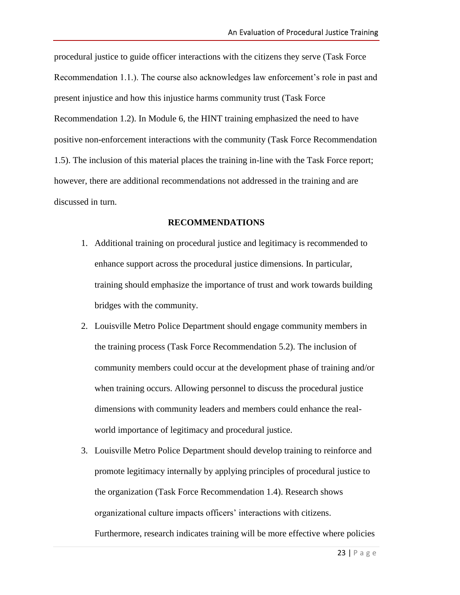procedural justice to guide officer interactions with the citizens they serve (Task Force Recommendation 1.1.). The course also acknowledges law enforcement's role in past and present injustice and how this injustice harms community trust (Task Force Recommendation 1.2). In Module 6, the HINT training emphasized the need to have positive non-enforcement interactions with the community (Task Force Recommendation 1.5). The inclusion of this material places the training in-line with the Task Force report; however, there are additional recommendations not addressed in the training and are discussed in turn.

#### **RECOMMENDATIONS**

- 1. Additional training on procedural justice and legitimacy is recommended to enhance support across the procedural justice dimensions. In particular, training should emphasize the importance of trust and work towards building bridges with the community.
- 2. Louisville Metro Police Department should engage community members in the training process (Task Force Recommendation 5.2). The inclusion of community members could occur at the development phase of training and/or when training occurs. Allowing personnel to discuss the procedural justice dimensions with community leaders and members could enhance the realworld importance of legitimacy and procedural justice.
- 3. Louisville Metro Police Department should develop training to reinforce and promote legitimacy internally by applying principles of procedural justice to the organization (Task Force Recommendation 1.4). Research shows organizational culture impacts officers' interactions with citizens. Furthermore, research indicates training will be more effective where policies

23 | P a g e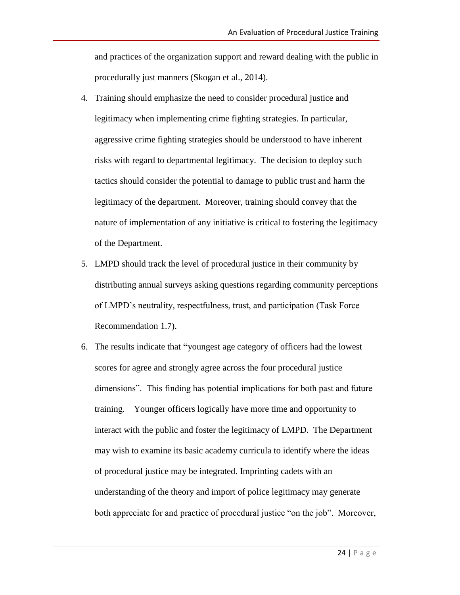and practices of the organization support and reward dealing with the public in procedurally just manners (Skogan et al., 2014).

- 4. Training should emphasize the need to consider procedural justice and legitimacy when implementing crime fighting strategies. In particular, aggressive crime fighting strategies should be understood to have inherent risks with regard to departmental legitimacy. The decision to deploy such tactics should consider the potential to damage to public trust and harm the legitimacy of the department. Moreover, training should convey that the nature of implementation of any initiative is critical to fostering the legitimacy of the Department.
- 5. LMPD should track the level of procedural justice in their community by distributing annual surveys asking questions regarding community perceptions of LMPD's neutrality, respectfulness, trust, and participation (Task Force Recommendation 1.7).
- 6. The results indicate that **"**youngest age category of officers had the lowest scores for agree and strongly agree across the four procedural justice dimensions". This finding has potential implications for both past and future training. Younger officers logically have more time and opportunity to interact with the public and foster the legitimacy of LMPD. The Department may wish to examine its basic academy curricula to identify where the ideas of procedural justice may be integrated. Imprinting cadets with an understanding of the theory and import of police legitimacy may generate both appreciate for and practice of procedural justice "on the job". Moreover,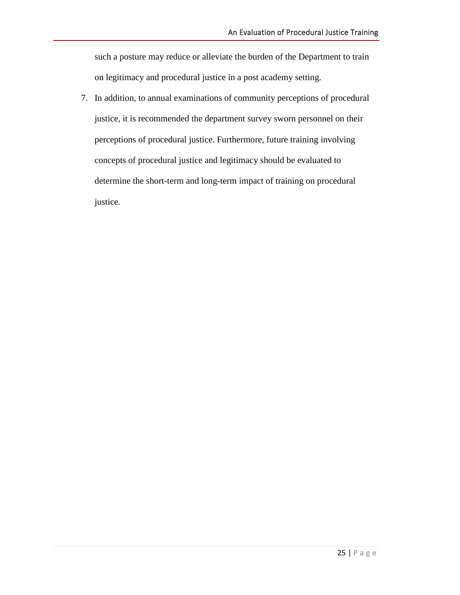such a posture may reduce or alleviate the burden of the Department to train on legitimacy and procedural justice in a post academy setting.

7. In addition, to annual examinations of community perceptions of procedural justice, it is recommended the department survey sworn personnel on their perceptions of procedural justice. Furthermore, future training involving concepts of procedural justice and legitimacy should be evaluated to determine the short-term and long-term impact of training on procedural justice.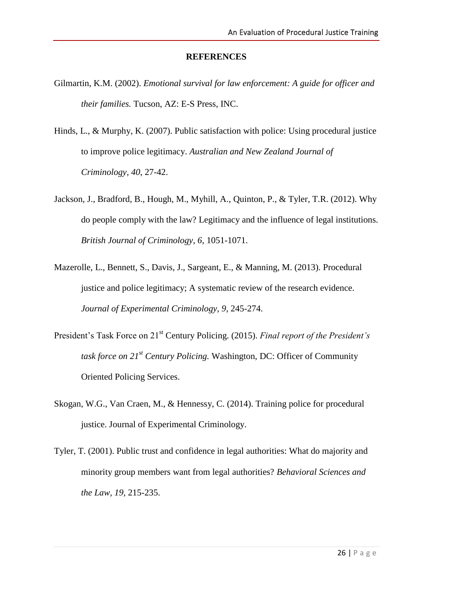#### **REFERENCES**

- Gilmartin, K.M. (2002). *Emotional survival for law enforcement: A guide for officer and their families.* Tucson, AZ: E-S Press, INC.
- Hinds, L., & Murphy, K. (2007). Public satisfaction with police: Using procedural justice to improve police legitimacy. *Australian and New Zealand Journal of Criminology, 40*, 27-42.
- Jackson, J., Bradford, B., Hough, M., Myhill, A., Quinton, P., & Tyler, T.R. (2012). Why do people comply with the law? Legitimacy and the influence of legal institutions. *British Journal of Criminology, 6,* 1051-1071.
- Mazerolle, L., Bennett, S., Davis, J., Sargeant, E., & Manning, M. (2013). Procedural justice and police legitimacy; A systematic review of the research evidence. *Journal of Experimental Criminology, 9*, 245-274.
- President's Task Force on 21st Century Policing. (2015). *Final report of the President's task force on 21st Century Policing.* Washington, DC: Officer of Community Oriented Policing Services.
- Skogan, W.G., Van Craen, M., & Hennessy, C. (2014). Training police for procedural justice. Journal of Experimental Criminology.
- Tyler, T. (2001). Public trust and confidence in legal authorities: What do majority and minority group members want from legal authorities? *Behavioral Sciences and the Law, 19,* 215-235.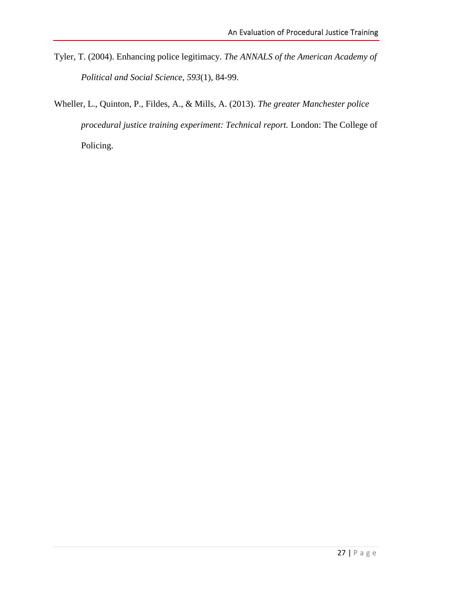- Tyler, T. (2004). Enhancing police legitimacy. *The ANNALS of the American Academy of Political and Social Science, 593*(1), 84-99.
- Wheller, L., Quinton, P., Fildes, A., & Mills, A. (2013). *The greater Manchester police procedural justice training experiment: Technical report.* London: The College of Policing.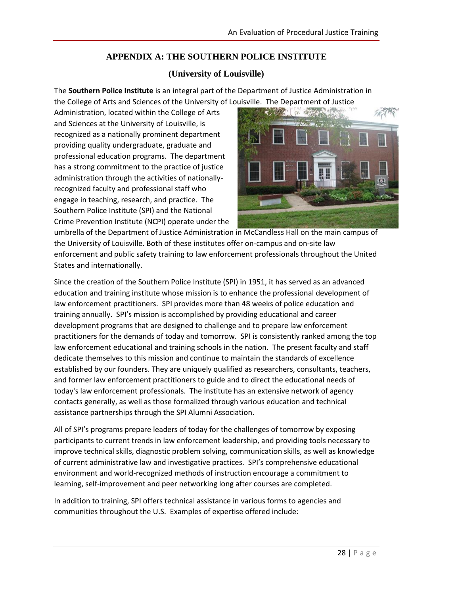# **APPENDIX A: THE SOUTHERN POLICE INSTITUTE**

## **(University of Louisville)**

The **Southern Police Institute** is an integral part of the Department of Justice Administration in the College of Arts and Sciences of the University of Louisville. The Department of Justice

Administration, located within the College of Arts and Sciences at the University of Louisville, is recognized as a nationally prominent department providing quality undergraduate, graduate and professional education programs. The department has a strong commitment to the practice of justice administration through the activities of nationallyrecognized faculty and professional staff who engage in teaching, research, and practice. The Southern Police Institute (SPI) and the National Crime Prevention Institute (NCPI) operate under the



umbrella of the Department of Justice Administration in McCandless Hall on the main campus of the University of Louisville. Both of these institutes offer on-campus and on-site law enforcement and public safety training to law enforcement professionals throughout the United States and internationally.

Since the creation of the Southern Police Institute (SPI) in 1951, it has served as an advanced education and training institute whose mission is to enhance the professional development of law enforcement practitioners. SPI provides more than 48 weeks of police education and training annually. SPI's mission is accomplished by providing educational and career development programs that are designed to challenge and to prepare law enforcement practitioners for the demands of today and tomorrow. SPI is consistently ranked among the top law enforcement educational and training schools in the nation. The present faculty and staff dedicate themselves to this mission and continue to maintain the standards of excellence established by our founders. They are uniquely qualified as researchers, consultants, teachers, and former law enforcement practitioners to guide and to direct the educational needs of today's law enforcement professionals. The institute has an extensive network of agency contacts generally, as well as those formalized through various education and technical assistance partnerships through the SPI Alumni Association.

All of SPI's programs prepare leaders of today for the challenges of tomorrow by exposing participants to current trends in law enforcement leadership, and providing tools necessary to improve technical skills, diagnostic problem solving, communication skills, as well as knowledge of current administrative law and investigative practices. SPI's comprehensive educational environment and world-recognized methods of instruction encourage a commitment to learning, self-improvement and peer networking long after courses are completed.

In addition to training, SPI offers technical assistance in various forms to agencies and communities throughout the U.S. Examples of expertise offered include: